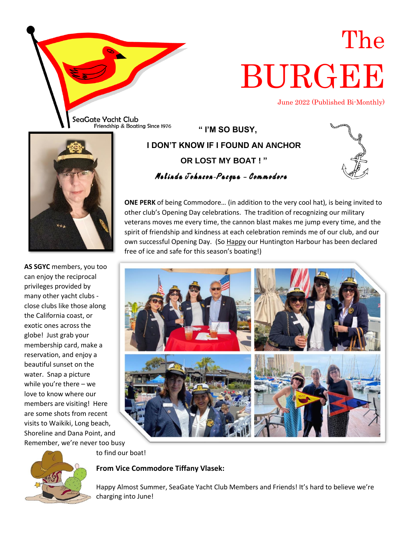

# The BURGEE

June 2022 (Published Bi-Monthly)

**" I'M SO BUSY, I DON'T KNOW IF I FOUND AN ANCHOR OR LOST MY BOAT ! " Melinda Johnson-Pasqua – Commodore**









to find our boat!

**From Vice Commodore Tiffany Vlasek:**

Happy Almost Summer, SeaGate Yacht Club Members and Friends! It's hard to believe we're charging into June!



**AS SGYC** members, you too can enjoy the reciprocal privileges provided by many other yacht clubs close clubs like those along the California coast, or exotic ones across the globe! Just grab your membership card, make a reservation, and enjoy a beautiful sunset on the water. Snap a picture while you're there – we love to know where our members are visiting! Here are some shots from recent visits to Waikiki, Long beach, Shoreline and Dana Point, and Remember, we're never too busy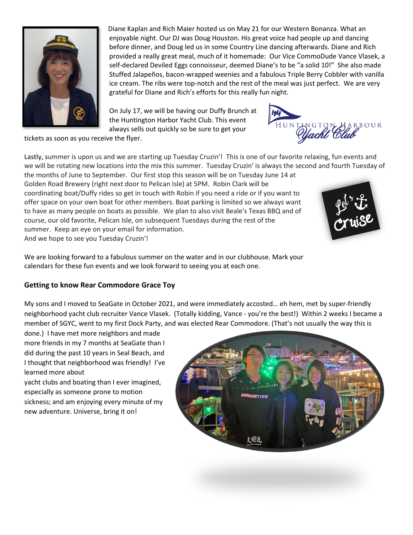

Diane Kaplan and Rich Maier hosted us on May 21 for our Western Bonanza. What an enjoyable night. Our DJ was Doug Houston. His great voice had people up and dancing before dinner, and Doug led us in some Country Line dancing afterwards. Diane and Rich provided a really great meal, much of it homemade: Our Vice CommoDude Vance Vlasek, a self-declared Deviled Eggs connoisseur, deemed Diane's to be "a solid 10!" She also made Stuffed Jalapeños, bacon-wrapped weenies and a fabulous Triple Berry Cobbler with vanilla ice cream. The ribs were top-notch and the rest of the meal was just perfect. We are very grateful for Diane and Rich's efforts for this really fun night.

On July 17, we will be having our Duffy Brunch at the Huntington Harbor Yacht Club. This event always sells out quickly so be sure to get your



tickets as soon as you receive the flyer.

Lastly, summer is upon us and we are starting up Tuesday Cruzin'! This is one of our favorite relaxing, fun events and we will be rotating new locations into the mix this summer. Tuesday Cruzin' is always the second and fourth Tuesday of the months of June to September. Our first stop this season will be on Tuesday June 14 at

Golden Road Brewery (right next door to Pelican Isle) at 5PM. Robin Clark will be coordinating boat/Duffy rides so get in touch with Robin if you need a ride or if you want to offer space on your own boat for other members. Boat parking is limited so we always want to have as many people on boats as possible. We plan to also visit Beale's Texas BBQ and of course, our old favorite, Pelican Isle, on subsequent Tuesdays during the rest of the summer. Keep an eye on your email for information. And we hope to see you Tuesday Cruzin'!



We are looking forward to a fabulous summer on the water and in our clubhouse. Mark your calendars for these fun events and we look forward to seeing you at each one.

#### **Getting to know Rear Commodore Grace Toy**

My sons and I moved to SeaGate in October 2021, and were immediately accosted… eh hem, met by super-friendly neighborhood yacht club recruiter Vance Vlasek. (Totally kidding, Vance - you're the best!) Within 2 weeks I became a member of SGYC, went to my first Dock Party, and was elected Rear Commodore. (That's not usually the way this is

done.) I have met more neighbors and made more friends in my 7 months at SeaGate than I did during the past 10 years in Seal Beach, and I thought that neighborhood was friendly! I've learned more about

yacht clubs and boating than I ever imagined, especially as someone prone to motion sickness; and am enjoying every minute of my new adventure. Universe, bring it on!

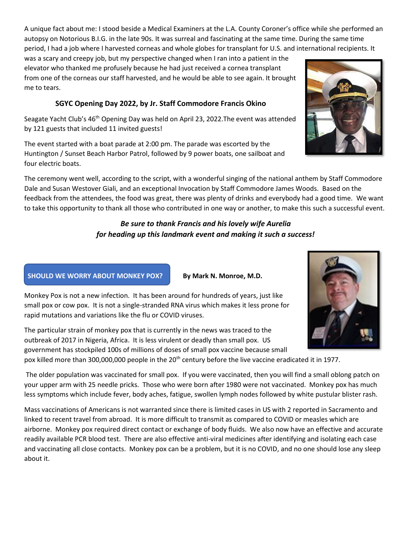A unique fact about me: I stood beside a Medical Examiners at the L.A. County Coroner's office while she performed an autopsy on Notorious B.I.G. in the late 90s. It was surreal and fascinating at the same time. During the same time period, I had a job where I harvested corneas and whole globes for transplant for U.S. and international recipients. It

was a scary and creepy job, but my perspective changed when I ran into a patient in the elevator who thanked me profusely because he had just received a cornea transplant from one of the corneas our staff harvested, and he would be able to see again. It brought me to tears.

#### **SGYC Opening Day 2022, by Jr. Staff Commodore Francis Okino**

Seagate Yacht Club's 46<sup>th</sup> Opening Day was held on April 23, 2022. The event was attended by 121 guests that included 11 invited guests!

The event started with a boat parade at 2:00 pm. The parade was escorted by the Huntington / Sunset Beach Harbor Patrol, followed by 9 power boats, one sailboat and four electric boats.

The ceremony went well, according to the script, with a wonderful singing of the national anthem by Staff Commodore Dale and Susan Westover Giali, and an exceptional Invocation by Staff Commodore James Woods. Based on the feedback from the attendees, the food was great, there was plenty of drinks and everybody had a good time. We want to take this opportunity to thank all those who contributed in one way or another, to make this such a successful event.

#### *Be sure to thank Francis and his lovely wife Aurelia for heading up this landmark event and making it such a success!*

#### **SHOULD WE WORRY ABOUT MONKEY POX? By Mark N. Monroe, M.D.**

Monkey Pox is not a new infection. It has been around for hundreds of years, just like small pox or cow pox. It is not a single-stranded RNA virus which makes it less prone for rapid mutations and variations like the flu or COVID viruses.

The particular strain of monkey pox that is currently in the news was traced to the outbreak of 2017 in Nigeria, Africa. It is less virulent or deadly than small pox. US government has stockpiled 100s of millions of doses of small pox vaccine because small pox killed more than 300,000,000 people in the 20<sup>th</sup> century before the live vaccine eradicated it in 1977.

The older population was vaccinated for small pox. If you were vaccinated, then you will find a small oblong patch on your upper arm with 25 needle pricks. Those who were born after 1980 were not vaccinated. Monkey pox has much less symptoms which include fever, body aches, fatigue, swollen lymph nodes followed by white pustular blister rash.

Mass vaccinations of Americans is not warranted since there is limited cases in US with 2 reported in Sacramento and linked to recent travel from abroad. It is more difficult to transmit as compared to COVID or measles which are airborne. Monkey pox required direct contact or exchange of body fluids. We also now have an effective and accurate readily available PCR blood test. There are also effective anti-viral medicines after identifying and isolating each case and vaccinating all close contacts. Monkey pox can be a problem, but it is no COVID, and no one should lose any sleep about it.



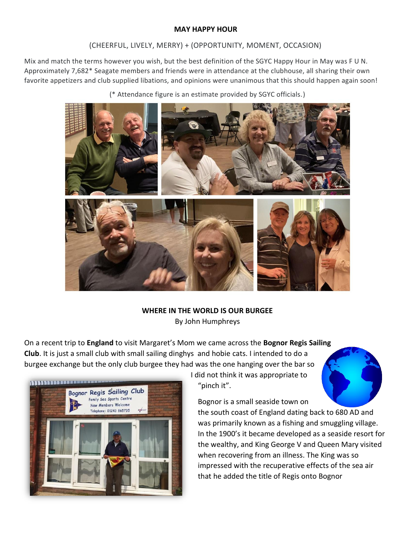#### **MAY HAPPY HOUR**

#### (CHEERFUL, LIVELY, MERRY) + (OPPORTUNITY, MOMENT, OCCASION)

Mix and match the terms however you wish, but the best definition of the SGYC Happy Hour in May was F U N. Approximately 7,682\* Seagate members and friends were in attendance at the clubhouse, all sharing their own favorite appetizers and club supplied libations, and opinions were unanimous that this should happen again soon!

(\* Attendance figure is an estimate provided by SGYC officials.)



#### **WHERE IN THE WORLD IS OUR BURGEE** By John Humphreys

On a recent trip to **England** to visit Margaret's Mom we came across the **Bognor Regis Sailing Club**. It is just a small club with small sailing dinghys and hobie cats. I intended to do a burgee exchange but the only club burgee they had was the one hanging over the bar so



I did not think it was appropriate to "pinch it".



Bognor is a small seaside town on

the south coast of England dating back to 680 AD and was primarily known as a fishing and smuggling village. In the 1900's it became developed as a seaside resort for the wealthy, and King George V and Queen Mary visited when recovering from an illness. The King was so impressed with the recuperative effects of the sea air that he added the title of Regis onto Bognor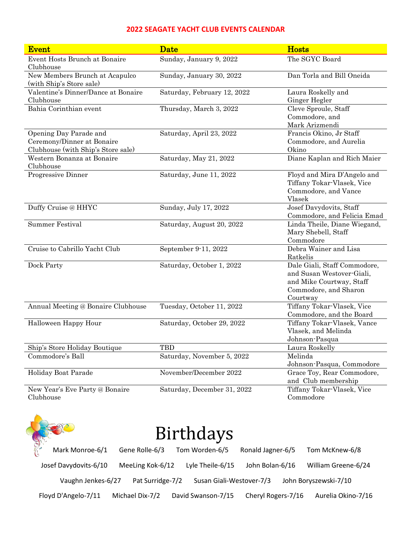#### **2022 SEAGATE YACHT CLUB EVENTS CALENDAR**

| <b>Event</b>                                                                               | <b>Date</b>                 | <b>Hosts</b>                                                                                                               |
|--------------------------------------------------------------------------------------------|-----------------------------|----------------------------------------------------------------------------------------------------------------------------|
| Event Hosts Brunch at Bonaire<br>Clubhouse                                                 | Sunday, January 9, 2022     | The SGYC Board                                                                                                             |
| New Members Brunch at Acapulco<br>(with Ship's Store sale)                                 | Sunday, January 30, 2022    | Dan Torla and Bill Oneida                                                                                                  |
| Valentine's Dinner/Dance at Bonaire<br>Clubhouse                                           | Saturday, February 12, 2022 | Laura Roskelly and<br>Ginger Hegler                                                                                        |
| Bahia Corinthian event                                                                     | Thursday, March 3, 2022     | Cleve Sproule, Staff<br>Commodore, and<br>Mark Arizmendi                                                                   |
| Opening Day Parade and<br>Ceremony/Dinner at Bonaire<br>Clubhouse (with Ship's Store sale) | Saturday, April 23, 2022    | Francis Okino, Jr Staff<br>Commodore, and Aurelia<br>Okino                                                                 |
| Western Bonanza at Bonaire<br>Clubhouse                                                    | Saturday, May 21, 2022      | Diane Kaplan and Rich Maier                                                                                                |
| Progressive Dinner                                                                         | Saturday, June 11, 2022     | Floyd and Mira D'Angelo and<br>Tiffany Tokar-Vlasek, Vice<br>Commodore, and Vance<br>Vlasek                                |
| Duffy Cruise @ HHYC                                                                        | Sunday, July 17, 2022       | Josef Davydovits, Staff<br>Commodore, and Felicia Emad                                                                     |
| <b>Summer Festival</b>                                                                     | Saturday, August 20, 2022   | Linda Theile, Diane Wiegand,<br>Mary Shebell, Staff<br>Commodore                                                           |
| Cruise to Cabrillo Yacht Club                                                              | September 9-11, 2022        | Debra Wainer and Lisa<br>Ratkelis                                                                                          |
| Dock Party                                                                                 | Saturday, October 1, 2022   | Dale Giali, Staff Commodore,<br>and Susan Westover-Giali,<br>and Mike Courtway, Staff<br>Commodore, and Sharon<br>Courtway |
| Annual Meeting @ Bonaire Clubhouse                                                         | Tuesday, October 11, 2022   | Tiffany Tokar-Vlasek, Vice<br>Commodore, and the Board                                                                     |
| Halloween Happy Hour                                                                       | Saturday, October 29, 2022  | Tiffany Tokar-Vlasek, Vance<br>Vlasek, and Melinda<br>Johnson-Pasqua                                                       |
| Ship's Store Holiday Boutique                                                              | <b>TBD</b>                  | Laura Roskelly                                                                                                             |
| Commodore's Ball                                                                           | Saturday, November 5, 2022  | Melinda<br>Johnson-Pasqua, Commodore                                                                                       |
| Holiday Boat Parade                                                                        | November/December 2022      | Grace Toy, Rear Commodore,<br>and Club membership                                                                          |
| New Year's Eve Party @ Bonaire<br>Clubhouse                                                | Saturday, December 31, 2022 | Tiffany Tokar-Vlasek, Vice<br>Commodore                                                                                    |

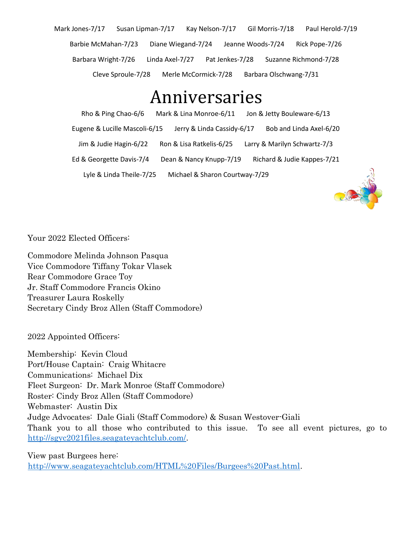Mark Jones-7/17 Susan Lipman-7/17 Kay Nelson-7/17 Gil Morris-7/18 Paul Herold-7/19 Barbie McMahan-7/23 Diane Wiegand-7/24 Jeanne Woods-7/24 Rick Pope-7/26 Barbara Wright-7/26 Linda Axel-7/27 Pat Jenkes-7/28 Suzanne Richmond-7/28 Cleve Sproule-7/28 Merle McCormick-7/28 Barbara Olschwang-7/31

## Anniversaries

Rho & Ping Chao-6/6 Mark & Lina Monroe-6/11 Jon & Jetty Bouleware-6/13 Eugene & Lucille Mascoli-6/15 Jerry & Linda Cassidy-6/17 Bob and Linda Axel-6/20 Jim & Judie Hagin-6/22 Ron & Lisa Ratkelis-6/25 Larry & Marilyn Schwartz-7/3 Ed & Georgette Davis-7/4 Dean & Nancy Knupp-7/19 Richard & Judie Kappes-7/21 Lyle & Linda Theile-7/25 Michael & Sharon Courtway-7/29



Your 2022 Elected Officers:

Commodore Melinda Johnson Pasqua Vice Commodore Tiffany Tokar Vlasek Rear Commodore Grace Toy Jr. Staff Commodore Francis Okino Treasurer Laura Roskelly Secretary Cindy Broz Allen (Staff Commodore)

2022 Appointed Officers:

Membership: Kevin Cloud Port/House Captain: Craig Whitacre Communications: Michael Dix Fleet Surgeon: Dr. Mark Monroe (Staff Commodore) Roster: Cindy Broz Allen (Staff Commodore) Webmaster: Austin Dix Judge Advocates: Dale Giali (Staff Commodore) & Susan Westover-Giali Thank you to all those who contributed to this issue. To see all event pictures, go to http://sgyc2021files.seagateyachtclub.com/.

View past Burgees here: http://www.seagateyachtclub.com/HTML%20Files/Burgees%20Past.html.